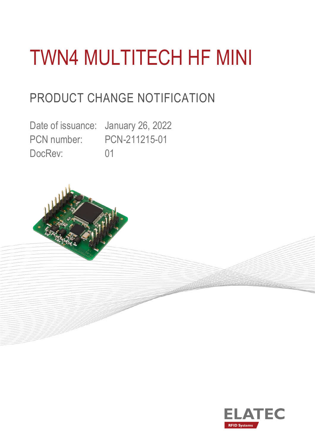# TWN4 MULTITECH HF MINI

# PRODUCT CHANGE NOTIFICATION

Date of issuance: January 26, 2022 PCN number: PCN-211215-01 DocRev: 01



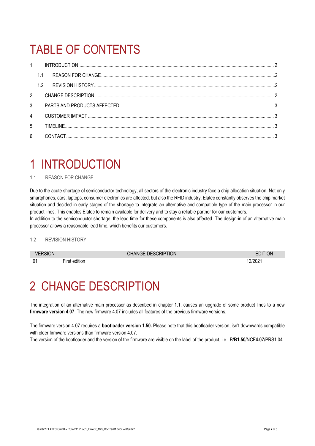# TABLE OF CONTENTS

| $1 -$          |     |  |  |  |  |
|----------------|-----|--|--|--|--|
|                | 1.1 |  |  |  |  |
|                | 1.2 |  |  |  |  |
| $2^{\circ}$    |     |  |  |  |  |
| $\mathcal{S}$  |     |  |  |  |  |
| $\overline{4}$ |     |  |  |  |  |
| 5              |     |  |  |  |  |
| $6\phantom{a}$ |     |  |  |  |  |

# <span id="page-1-0"></span>1 INTRODUCTION

### <span id="page-1-1"></span>1.1 REASON FOR CHANGE

Due to the acute shortage of semiconductor technology, all sectors of the electronic industry face a chip allocation situation. Not only smartphones, cars, laptops, consumer electronics are affected, but also the RFID industry. Elatec constantly observes the chip market situation and decided in early stages of the shortage to integrate an alternative and compatible type of the main processor in our product lines. This enables Elatec to remain available for delivery and to stay a reliable partner for our customers.

In addition to the semiconductor shortage, the lead time for these components is also affected. The design-in of an alternative main processor allows a reasonable lead time, which benefits our customers.

#### <span id="page-1-2"></span>1.2 REVISION HISTORY

|                | <b>DESCRIPTION</b>                    |  | <b>ION</b><br>-- |
|----------------|---------------------------------------|--|------------------|
| 0 <sub>1</sub> | $- \cdot$<br><br><b>FILS</b><br>าแเบเ |  | LILUL            |

### <span id="page-1-3"></span>2 CHANGE DESCRIPTION

The integration of an alternative main processor as described in chapter 1.1. causes an upgrade of some product lines to a new **firmware version 4.07**. The new firmware 4.07 includes all features of the previous firmware versions.

The firmware version 4.07 requires a **bootloader version 1.50.** Please note that this bootloader version, isn't downwards compatible with older firmware versions than firmware version 4.07.

The version of the bootloader and the version of the firmware are visible on the label of the product, i.e., B/**B1.50**/NCF**4.07**/PRS1.04